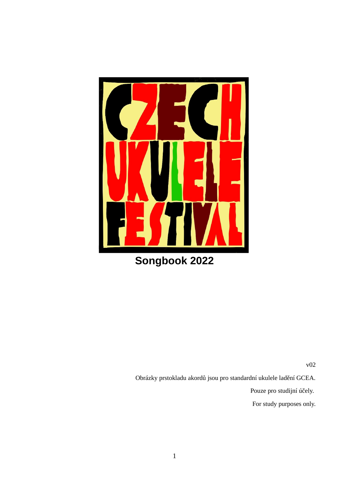

**Songbook 2022**

v02 Obrázky prstokladu akordů jsou pro standardní ukulele ladění GCEA.

Pouze pro studijní účely.

For study purposes only.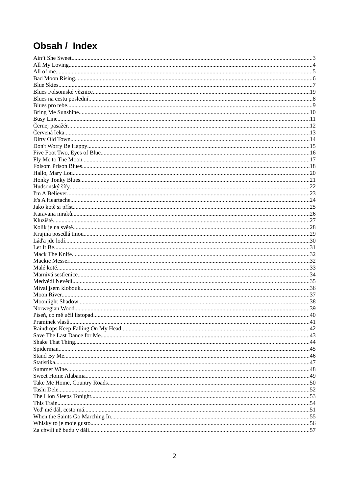# Obsah / Index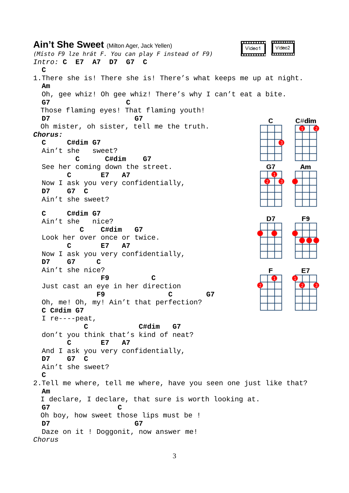<del>annum</del>  $\overline{\text{minim}}$ **Ain't She Sweet** (Milton Ager, Jack Yellen) Video1 Video2 *(Místo F9 lze hrát F. You can play F instead of F9)* <u>huunnd</u> <u>humund</u> *Intro:* **C E7 A7 D7 G7 C C**  1.There she is! There she is! There's what keeps me up at night.  **Am**  Oh, gee whiz! Oh gee whiz! There's why I can't eat a bite.  **G7 C** Those flaming eyes! That flaming youth!  **D7 G7** C  $C#dim$ Oh mister, oh sister, tell me the truth. *Chorus:*  **C C#dim G7**  Ain't she sweet?  **C C#dim G7** See her coming down the street. G7 Am  **C E7 A7**  Now I ask you very confidentially,  **D7 G7 C** Ain't she sweet?  **C C#dim G7**  D7 F٩ Ain't she nice?  **C C#dim G7** Look her over once or twice. **C** E7 A7 Now I ask you very confidentially,  **D7 G7 C** Ain't she nice? **E7 F9 C** Just cast an eye in her direction **F9** C G7 Oh, me! Oh, my! Ain't that perfection?  **C C#dim G7**  $I$  re----peat,  **C C#dim G7**  don't you think that's kind of neat? **C** E7 A7 And I ask you very confidentially,  **D7 G7 C** Ain't she sweet?  **C**  2.Tell me where, tell me where, have you seen one just like that?  **Am** I declare, I declare, that sure is worth looking at.  **G7 C** Oh boy, how sweet those lips must be !  **D7 G7** Daze on it ! Doggonit, now answer me! *Chorus*

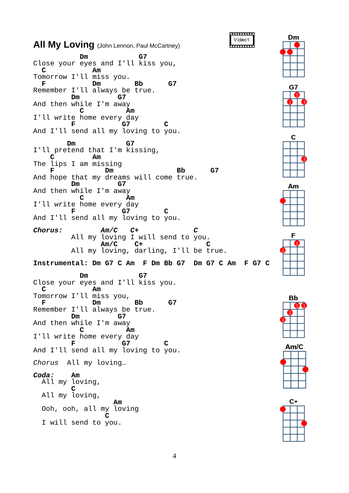Dm Video1 **All My Loving** (John Lennon, Paul McCartney) **Dm** G7 Close your eyes and I'll kiss you, **C** Am Tomorrow I'll miss you. **F** Dm Bb G7 G7 Remember I'll always be true. *Dm* G7 And then while I'm away **C** Am I'll write home every day  **F G7 C** And I'll send all my loving to you. C **12.12 Dm** G7 I'll pretend that I'm kissing, **C** Am The lips I am missing **F** Dm Bb G7 And hope that my dreams will come true. *Dm* G7 Am And then while I'm away **C** Am I'll write home every day  **F G7 C** And I'll send all my loving to you. *Chorus: Am/C C+ C* All my loving I will send to you.<br>**Am/C** C+  **Am/C C+ C** All my loving, darling, I'll be true. **Instrumental: Dm G7 C Am F Dm Bb G7 Dm G7 C Am F G7 C** *Dm* G7 Close your eyes and I'll kiss you. **C** Am Tomorrow I'll miss you, Bb  **F Dm Bb G7** Remember I'll always be true. *Dm* G7 And then while I'm away **C** Am I'll write home every day  **F G7 C** And I'll send all my loving to you. *Chorus* All my loving… *Coda:* **Am** All my loving,  **C** All my loving, C+ *Am*  Ooh, ooh, all my loving  **C** I will send to you.



<del>...........</del>



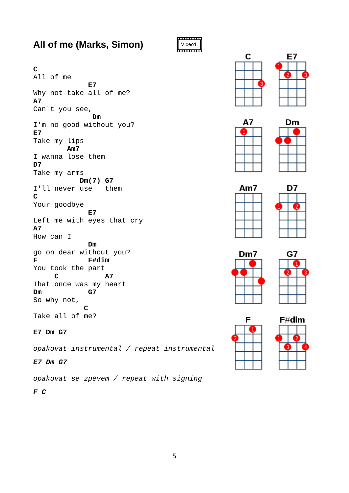# **All of me (Marks, Simon)**

**C** All of me  **E7** Why not take all of me? **A7** Can't you see, *Dm* I'm no good without you? **E7** Take my lips  **Am7** I wanna lose them **D7** Take my arms  **Dm(7) G7** I'll never use them **C** Your goodbye  **E7** Left me with eyes that cry **A7** How can I  **Dm** go on dear without you? **F F#dim** You took the part **C** A7 That once was my heart **Dm G7** So why not, **C C** Take all of me?

**E7 Dm G7** 

*opakovat instrumental / repeat instrumental*

#### *E7 Dm G7*

*opakovat se zpěvem / repeat with signing*

*F C*























5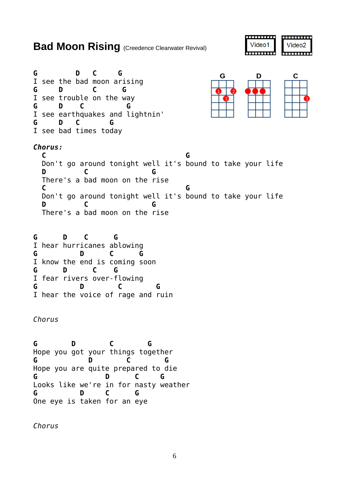# **Bad Moon Rising** (Creedence Clearwater Revival)

<del>,,,,,,,,,,,</del>

**G D C G** I see the bad moon arising **G D C G** I see trouble on the way **G D C G** I see earthquakes and lightnin' **G D C G** I see bad times today



#### *Chorus:*

 **C G** Don't go around tonight well it's bound to take your life  **D C G** There's a bad moon on the rise  **C G** Don't go around tonight well it's bound to take your life  **D C G** There's a bad moon on the rise

**G D C G** I hear hurricanes ablowing **G D C G** I know the end is coming soon **G D C G** I fear rivers over-flowing **G D C G** I hear the voice of rage and ruin

*Chorus*

**G D C G** Hope you got your things together **G D C G** Hope you are quite prepared to die **G D C G** Looks like we're in for nasty weather **G D C G** One eye is taken for an eye

*Chorus*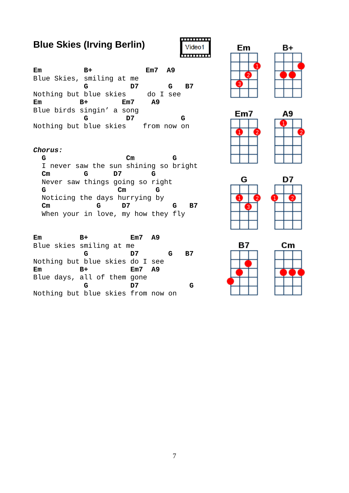# **Blue Skies (Irving Berlin)**

<del>...........</del> Video1 <del>..........</del>

| Em                     | B+                        | Em7      | A9 |    |
|------------------------|---------------------------|----------|----|----|
|                        | Blue Skies, smiling at me |          |    |    |
|                        | D7                        |          | G  | R7 |
| Nothing but blue skies |                           | do I see |    |    |
| Em                     | Em7<br>B+                 | A9       |    |    |
|                        | Blue birds singin' a song |          |    |    |
|                        | G                         |          |    | G  |
|                        | Nothing but blue skies    | from now |    | on |

#### *Chorus:*

 **G Cm G** I never saw the sun shining so bright  **Cm G D7 G** Never saw things going so right  **G Cm G** Noticing the days hurrying by  **Cm G D7 G B7** When your in love, my how they fly

**Em B+ Em7 A9** Blue skies smiling at me **G** D7 G B7 Nothing but blue skies do I see **Em B+ Em7 A9** Blue days, all of them gone<br> **G G D7 G** Nothing but blue skies from now on















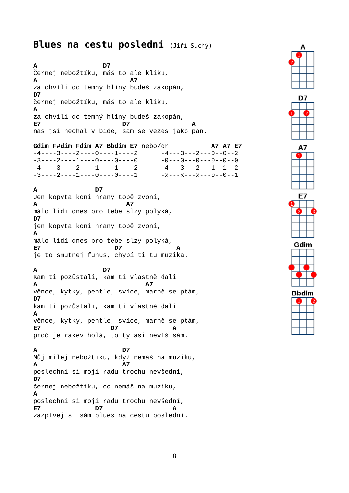## **Blues na cestu poslední** (Jiří Suchý)

**A D7** Černej nebožtíku, máš to ale kliku, **A A7** za chvíli do temný hlíny budeš zakopán, **D7** černej nebožtíku, máš to ale kliku, **A** za chvíli do temný hlíny budeš zakopán, **E7 D7 A** nás jsi nechal v bídě, sám se vezeš jako pán. **Gdim F#dim Fdim A7 Bbdim E7** nebo/or **A7 A7 E7** -4----3----2----0----1----2 -4---3---2---0--0--2  $-3$ ----2----1----0----0----0  $-4---3---2---1---1---2$  -4---3---2---1--1--2  $-3---2---1---0---0---1$   $-x---x---x---0---0---1$ **A D7** Jen kopyta koní hrany tobě zvoní, **A A7** málo lidí dnes pro tebe slzy polyká, **D7** jen kopyta koní hrany tobě zvoní, **A** málo lidí dnes pro tebe slzy polyká, **E7 D7 A** je to smutnej funus, chybí ti tu muzika. **A D7** Kam ti pozůstalí, kam ti vlastně dali **A A7** věnce, kytky, pentle, svíce, marně se ptám, **D7** kam ti pozůstalí, kam ti vlastně dali **A** věnce, kytky, pentle, svíce, marně se ptám, **E7 D7 A** proč je rakev holá, to ty asi nevíš sám. **A D7** Můj milej nebožtíku, když nemáš na muziku, **A A7** poslechni si moji radu trochu nevšední, **D7** černej nebožtíku, co nemáš na muziku, **A** poslechni si moji radu trochu nevšední, **E7 D7 A** zazpívej si sám blues na cestu poslední.

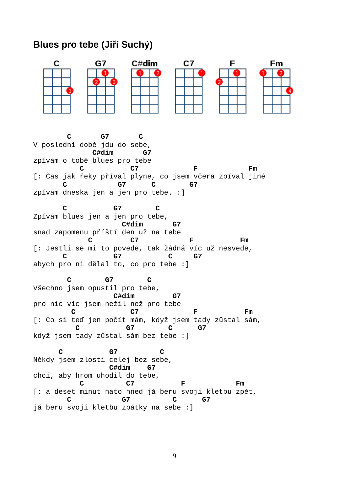## **Blues pro tebe (Jiří Suchý)**



 **C G7 C** V poslední době jdu do sebe,  **C#dim G7**  zpívám o tobě blues pro tebe **C** C7 F Fm [: Čas jak řeky příval plyne, co jsem včera zpíval jiné  **C G7 C G7** zpívám dneska jen a jen pro tebe. :]  **C G7 C** Zpívám blues jen a jen pro tebe,  **C#dim G7**  snad zapomenu příští den už na tebe **C C7 F** Fm [: Jestli se mi to povede, tak žádná víc už nesvede,  **C G7 C G7** abych pro ni dělal to, co pro tebe :]  **C G7 C** Všechno jsem opustil pro tebe,  **C#dim G7**  pro nic víc jsem nežil než pro tebe **C** C7 F Fm [: Co si teď jen počít mám, když jsem tady zůstal sám, **C** G7 C G7 když jsem tady zůstal sám bez tebe :]  **C G7 C** Někdy jsem zlostí celej bez sebe,  **C#dim G7**  chci, aby hrom uhodil do tebe,

**C** C7 F Fm [: a deset minut nato hned já beru svojí kletbu zpět,  **C G7 C G7** já beru svojí kletbu zpátky na sebe :]

9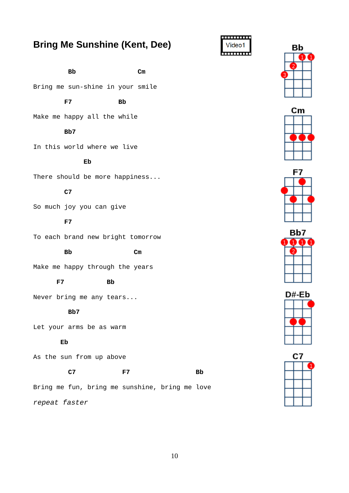# **Bring Me Sunshine (Kent, Dee)**

**Bb** Cm Bring me sun-shine in your smile  **F7 Bb** Make me happy all the while  **Bb7** In this world where we live  **Eb** There should be more happiness...  **C7** So much joy you can give  **F7** To each brand new bright tomorrow **Bb** Cm Make me happy through the years  **F7 Bb** Never bring me any tears...  **Bb7** Let your arms be as warm  **Eb** As the sun from up above **C7** F7 Bb Bring me fun, bring me sunshine, bring me love *repeat faster*



<del>,,,,,,,,,,,</del>









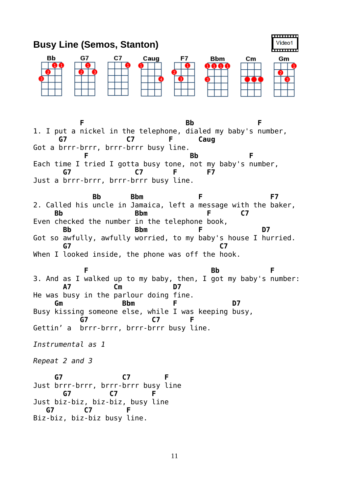

**e** F Bb F Bb 1. I put a nickel in the telephone, dialed my baby's number,  **G7 C7 F Caug**  Got a brrr-brrr, brrr-brrr busy line. **e** F Bb F Bb Each time I tried I gotta busy tone, not my baby's number,  **G7 C7 F F7** Just a brrr-brrr, brrr-brrr busy line. **Bb** Bbm F F7 2. Called his uncle in Jamaica, left a message with the baker, **Bb** Bbm F C7 Even checked the number in the telephone book, **Bb** Bbm F D7 Got so awfully, awfully worried, to my baby's house I hurried. **G7 C7** When I looked inside, the phone was off the hook. **e F** Bb F Bb F 3. And as I walked up to my baby, then, I got my baby's number:  **A7 Cm D7** He was busy in the parlour doing fine.  **Gm Bbm F D7**  Busy kissing someone else, while I was keeping busy, **G7 C7** F Gettin' a brrr-brrr, brrr-brrr busy line. *Instrumental as 1 Repeat 2 and 3*  **G7 C7 F**  Just brrr-brrr, brrr-brrr busy line  **G7 C7 F**  Just biz-biz, biz-biz, busy line  **G7 C7 F**  Biz-biz, biz-biz busy line.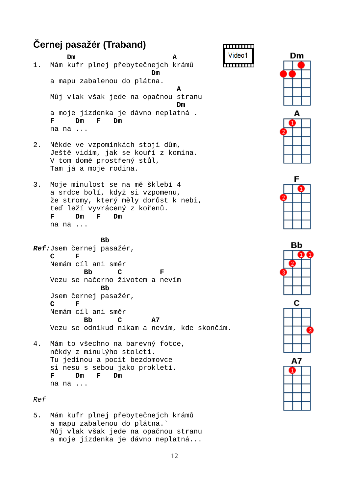# **Černej pasažér (Traband)**

**Dm** A 1. Mám kufr plnej přebytečnejch krámů *Dm*  a mapu zabalenou do plátna.  **A**  Můj vlak však jede na opačnou stranu *Dm* **Dm** a moje jízdenka je dávno neplatná .<br>F Dm F Dm  **F Dm F Dm** na na ...

- 2. Někde ve vzpomínkách stojí dům, Ještě vidím, jak se kouří z komína. V tom domě prostřený stůl, Tam já a moje rodina.
- 3. Moje minulost se na mě šklebí 4 a srdce bolí, když si vzpomenu, že stromy, který měly dorůst k nebi, teď leží vyvrácený z kořenů.  **F Dm F Dm** na na ...

#### **Bb**

*Ref:*Jsem černej pasažér,  **C F**  Nemám cíl ani směr **Bb C** F Vezu se načerno životem a nevím **Bb Bb Bb**  Jsem černej pasažér,  **C F**  Nemám cíl ani směr **Bb C** A7 Vezu se odnikud nikam a nevím, kde skončím.

4. Mám to všechno na barevný fotce, někdy z minulýho století. Tu jedinou a pocit bezdomovce si nesu s sebou jako prokletí.  **F Dm F Dm** na na ...

*Ref*

5. Mám kufr plnej přebytečnejch krámů a mapu zabalenou do plátna.` Můj vlak však jede na opačnou stranu a moje jízdenka je dávno neplatná...











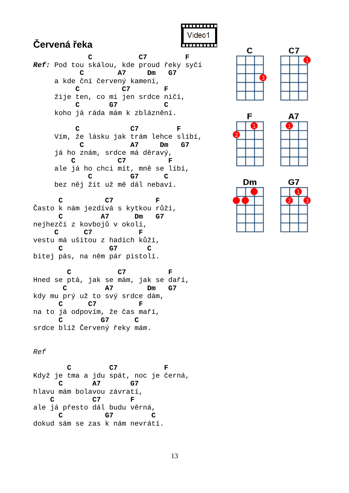**Červená řeka**



**C** C7 F Vím, že lásku jak trám lehce slíbí, **C C A7 Dm G7**  já ho znám, srdce má děravý, **C** C7 F ale já ho chci mít, mně se líbí,  **C G7 C** bez něj žít už mě dál nebaví.

 **C C7 F** Často k nám jezdívá s kytkou růží,  **C A7 Dm G7** nejhezčí z kovbojů v okolí,  **C C7 F** vestu má ušitou z hadích kůží,  **C G7 C** bitej pás, na něm pár pistolí.

**C** C7 F Hned se ptá, jak se mám, jak se daří,  **C A7 Dm G7** kdy mu prý už to svý srdce dám,  **C C7 F** na to já odpovím, že čas maří,  **C G7 C** srdce blíž Červený řeky mám.

*Ref*

**C** C7 F Když je tma a jdu spát, noc je černá,  **C A7 G7** hlavu mám bolavou závratí,  **C C7 F** ale já přesto dál budu věrná,  **C G7 C** dokud sám se zas k nám nevrátí.











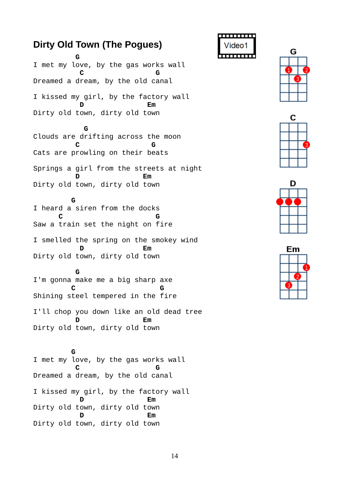## **Dirty Old Town (The Pogues)**

 **G** I met my love, by the gas works wall  **C G** Dreamed a dream, by the old canal I kissed my girl, by the factory wall **D** Em Dirty old town, dirty old town

 **G** Clouds are drifting across the moon  **C G** Cats are prowling on their beats Springs a girl from the streets at night **D** Em Dirty old town, dirty old town

 **G** I heard a siren from the docks  **C G** Saw a train set the night on fire I smelled the spring on the smokey wind **D** Em Dirty old town, dirty old town

 **G** I'm gonna make me a big sharp axe  **C G** Shining steel tempered in the fire I'll chop you down like an old dead tree **D** Em Dirty old town, dirty old town

 **G** I met my love, by the gas works wall  **C G** Dreamed a dream, by the old canal I kissed my girl, by the factory wall **D** Em Dirty old town, dirty old town **D** Em Dirty old town, dirty old town









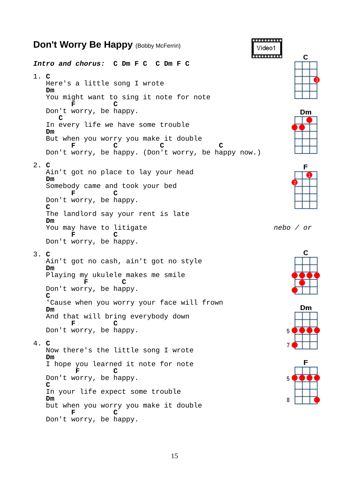#### **Don't Worry Be Happy** (Bobby McFerrin)

*Intro and chorus:* **C Dm F C C Dm F C**  1. **C** Here's a little song I wrote **Dm** You might want to sing it note for note **F C** Don't worry, be happy.  **C** In every life we have some trouble  **Dm** But when you worry you make it double  **F C C C** Don't worry, be happy. (Don't worry, be happy now.) 2. **C** Ain't got no place to lay your head  **Dm** Somebody came and took your bed **E** C Don't worry, be happy.  **C** The landlord say your rent is late  **Dm** You may have to litigate *nebo / or* **F** C Don't worry, be happy. 3. **C** Ain't got no cash, ain't got no style  **Dm** Playing my ukulele makes me smile **F** C Don't worry, be happy.  **C** 'Cause when you worry your face will frown  **Dm** And that will bring everybody down  **F C** Don't worry, be happy. 4. **C** Now there's the little song I wrote  **Dm** I hope you learned it note for note **F** C Don't worry, be happy.  **C** In your life expect some trouble  **Dm** but when you worry you make it double  **F C** Don't worry, be happy.















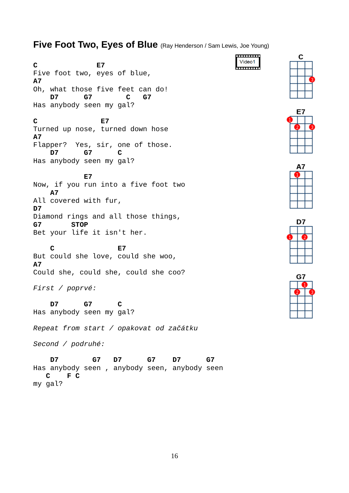**Five Foot Two, Eyes of Blue** (Ray Henderson / Sam Lewis, Joe Young)

**C E7** Five foot two, eyes of blue, **A7** Oh, what those five feet can do! **D7 G7 C G7** Has anybody seen my gal? **C E7** Turned up nose, turned down hose **A7** Flapper? Yes, sir, one of those. **D7 G7 C**  Has anybody seen my gal? **E7**  Now, if you run into a five foot two **A7** All covered with fur, **D7** Diamond rings and all those things, **G7 STOP** Bet your life it isn't her. **C** E7 But could she love, could she woo, **A7** Could she, could she, could she coo? *First / poprvé:* **D7 G7 C**  Has anybody seen my gal? *Repeat from start / opakovat od začátku Second / podruhé:*

 **D7 G7 D7 G7 D7 G7**  Has anybody seen , anybody seen, anybody seen  **C F C** my gal?











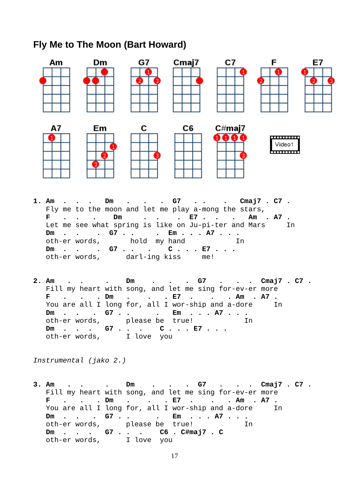## **Fly Me to The Moon (Bart Howard)**



- **1. Am . . . Dm . . . G7 . . . Cmaj7 . C7 .** Fly me to the moon and let me play a-mong the stars,  **F . . . Dm . . . E7 . . . Am . A7 .** Let me see what spring is like on Ju-pi-ter and Mars In  **Dm . . . G7 . . . Em . . . A7 . . .** oth-er words, hold my hand In **Dm** . . . . **G7** . . . . **C** . . . **E7** . . . oth-er words, darl-ing kiss me!
- **2. Am . . . Dm . . . G7 . . . Cmaj7 . C7 .** Fill my heart with song, and let me sing for-ev-er more  **F . . . Dm . . . E7 . . . Am . A7 .** You are all I long for, all I wor-ship and a-dore In  **Dm . . . G7 . . . Em . . . A7 . . .** oth-er words, please be true! In  **Dm . . . G7 . . . C . . . E7 . . .** oth-er words, I love you

*Instrumental (jako 2.)*

**3. Am . . . Dm . . . G7 . . . Cmaj7 . C7 .** Fill my heart with song, and let me sing for-ev-er more  **F . . . Dm . . . E7 . . . Am . A7 .** You are all I long for, all I wor-ship and a-dore In  **Dm . . . G7 . . . Em . . . A7 . . .** oth-er words, please be true! In  **Dm . . . G7 . . . C6 . C#maj7 . C** oth-er words, I love you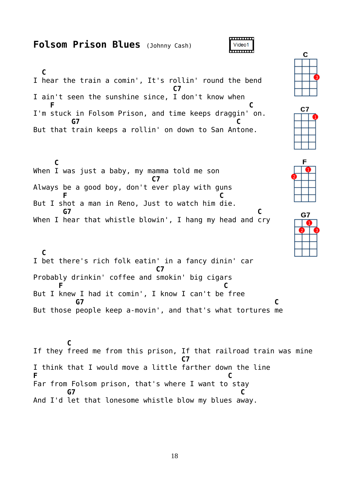## **Folsom Prison Blues** (Johnny Cash)

 **C** I hear the train a comin', It's rollin' round the bend  **C7**  I ain't seen the sunshine since, I don't know when **F** C I'm stuck in Folsom Prison, and time keeps draggin' on.  **G7 C** But that train keeps a rollin' on down to San Antone.

## **C**

When I was just a baby, my mamma told me son **C7** Always be a good boy, don't ever play with guns **E** C But I shot a man in Reno, Just to watch him die.  **G7 C** When I hear that whistle blowin', I hang my head and cry

 **C** I bet there's rich folk eatin' in a fancy dinin' car **C7** Probably drinkin' coffee and smokin' big cigars **F** C But I knew I had it comin', I know I can't be free  **G7 C** But those people keep a-movin', and that's what tortures me

 **C** If they freed me from this prison, If that railroad train was mine **C7** I think that I would move a little farther down the line **F C** Far from Folsom prison, that's where I want to stay  **G7 C** And I'd let that lonesome whistle blow my blues away.



<del>.........</del>





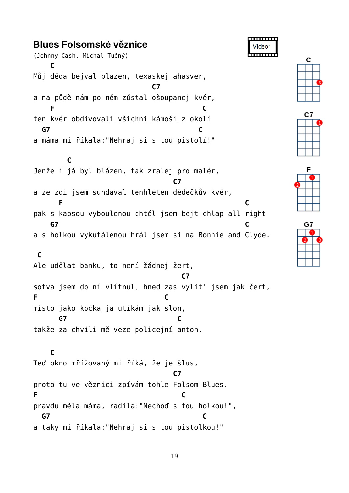## **Blues Folsomské věznice**

(Johnny Cash, Michal Tučný)  **C**  Můj děda bejval blázen, texaskej ahasver, **C7** a na půdě nám po něm zůstal ošoupanej kvér, **F** C ten kvér obdivovali všichni kámoši z okolí  **G7 C** a máma mi říkala:"Nehraj si s tou pistolí!"  **C** Jenže i já byl blázen, tak zralej pro malér, **C7** a ze zdi jsem sundával tenhleten dědečkův kvér, **F** C pak s kapsou vyboulenou chtěl jsem bejt chlap all right  **G7 C** a s holkou vykutálenou hrál jsem si na Bonnie and Clyde.  **C** Ale udělat banku, to není žádnej žert, **C7** sotva jsem do ní vlítnul, hned zas vylít' jsem jak čert, **F C** místo jako kočka já utíkám jak slon,  **G7 C** takže za chvíli mě veze policejní anton.  **C** Teď okno mřížovaný mi říká, že je šlus, **C7** proto tu ve věznici zpívám tohle Folsom Blues. **F C**

pravdu měla máma, radila:"Nechoď s tou holkou!",

a taky mi říkala:"Nehraj si s tou pistolkou!"

 **G7 C**

C





| G7 |  |  |   |  |  |
|----|--|--|---|--|--|
|    |  |  |   |  |  |
|    |  |  | в |  |  |
|    |  |  |   |  |  |
|    |  |  |   |  |  |
|    |  |  |   |  |  |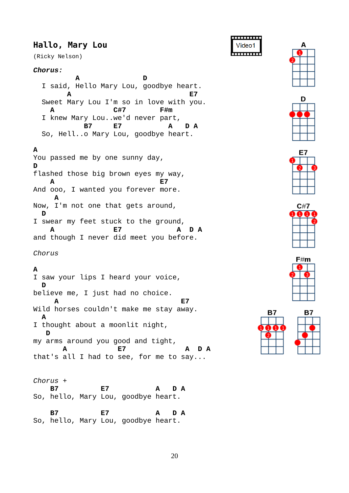## **Hallo, Mary Lou**













(Ricky Nelson)

*Chorus:* **A D** I said, Hello Mary Lou, goodbye heart.  **A E7**  Sweet Mary Lou I'm so in love with you. **A C#7** F#m I knew Mary Lou..we'd never part,  **B7 E7 A D A** So, Hell..o Mary Lou, goodbye heart.

#### **A**

You passed me by one sunny day, **D** flashed those big brown eyes my way,  **A E7** And ooo, I wanted you forever more.  **A** Now, I'm not one that gets around,  **D** I swear my feet stuck to the ground,  **A E7 A D A** and though I never did meet you before.

#### *Chorus*

#### **A**

I saw your lips I heard your voice,  **D** believe me, I just had no choice. **A** E7 Wild horses couldn't make me stay away.  **A** I thought about a moonlit night,  **D** my arms around you good and tight,  **A E7 A D A** that's all I had to see, for me to say...

*Chorus +*   **B7 E7 A D A** So, hello, Mary Lou, goodbye heart.  **B7 E7 A D A** So, hello, Mary Lou, goodbye heart.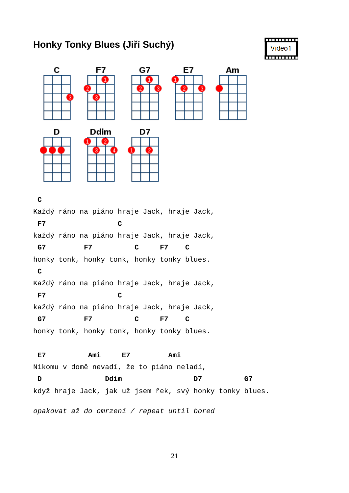# **Honky Tonky Blues (Jiří Suchý)**





 **C**

Každý ráno na piáno hraje Jack, hraje Jack,  **F7 C** každý ráno na piáno hraje Jack, hraje Jack,  **G7 F7 C F7 C** honky tonk, honky tonk, honky tonky blues.  **C** Každý ráno na piáno hraje Jack, hraje Jack,  **F7 C** každý ráno na piáno hraje Jack, hraje Jack,  **G7 F7 C F7 C** honky tonk, honky tonk, honky tonky blues.

 **E7 Ami E7 Ami** Nikomu v domě nevadí, že to piáno neladí, **D** Ddim D7 G7 když hraje Jack, jak už jsem řek, svý honky tonky blues. *opakovat až do omrzení / repeat until bored*

21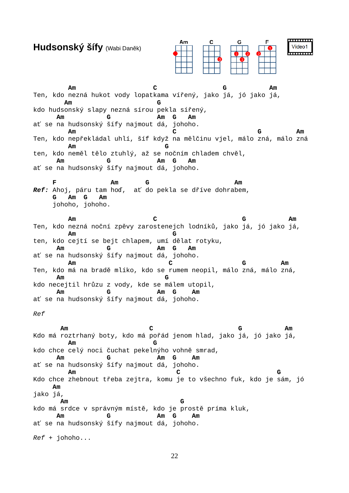**Hudsonský šífy** (Wabi Daněk)

Am Video1 hmmm **Am C C** G Am Ten, kdo nezná hukot vody lopatkama vířený, jako já, jó jako já,  **Am G** kdo hudsonský slapy nezná sírou pekla sířený,  **Am G Am G Am** ať se na hudsonský šífy najmout dá, johoho. **Am C G** Am Ten, kdo nepřekládal uhlí, šíf když na mělčinu vjel, málo zná, málo zná  **Am G** ten, kdo neměl tělo ztuhlý, až se nočním chladem chvěl,  **Am G Am G Am** ať se na hudsonský šífy najmout dá, johoho. **F** Am G Am Am *Ref:* Ahoj, páru tam hoď, ať do pekla se dříve dohrabem,  **G Am G Am** johoho, johoho. **am** C G Am Ten, kdo nezná noční zpěvy zarostenejch lodníků, jako já, jó jako já,  **Am G** ten, kdo cejtí se bejt chlapem, umí dělat rotyku,  **Am G Am G Am** ať se na hudsonský šífy najmout dá, johoho. **Am C** G Am Ten, kdo má na bradě mlíko, kdo se rumem neopil, málo zná, málo zná,  **Am G** kdo necejtil hrůzu z vody, kde se málem utopil,  **Am G Am G Am** ať se na hudsonský šífy najmout dá, johoho. *Ref* **Am C G Am** Kdo má roztrhaný boty, kdo má pořád jenom hlad, jako já, jó jako já,  **Am G** kdo chce celý noci čuchat pekelnýho vohně smrad,  **Am G Am G Am** ať se na hudsonský šífy najmout dá, johoho.  **Am C G** Kdo chce zhebnout třeba zejtra, komu je to všechno fuk, kdo je sám, jó  **Am** jako já, **Am** G kdo má srdce v správným místě, kdo je prostě príma kluk,  **Am G Am G Am** ať se na hudsonský šífy najmout dá, johoho.

<del>,,,,,,,,,,,</del>

*Ref* + johoho...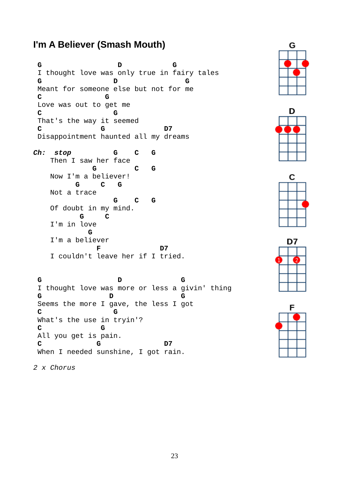# **I'm A Believer (Smash Mouth)**

 **G D G** I thought love was only true in fairy tales **G D G** Meant for someone else but not for me **C G** Love was out to get me **C G** That's the way it seemed **C G D7** Disappointment haunted all my dreams

*Ch: stop* **G C G**  Then I saw her face **G C G** Now I'm a believer! **G C G** Not a trace **G C G** Of doubt in my mind. **G C** I'm in love **G**  I'm a believer **F D7** I couldn't leave her if I tried.

 **G D G** I thought love was more or less a givin' thing **G D G** Seems the more I gave, the less I got **C G** What's the use in tryin'? **C G** All you get is pain. **C G D7** When I needed sunshine, I got rain.

*2 x Chorus*









|  | L |  |
|--|---|--|
|  |   |  |
|  |   |  |
|  |   |  |
|  |   |  |
|  |   |  |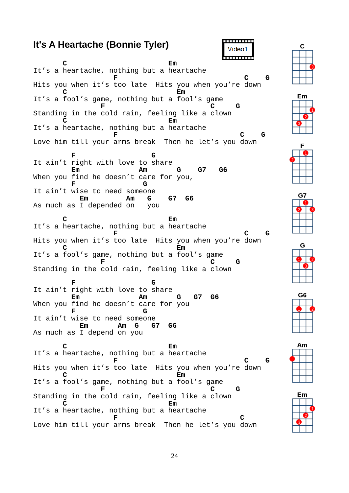## **It's A Heartache (Bonnie Tyler)**

**C** Em It's a heartache, nothing but a heartache **F** C G Hits you when it's too late Hits you when you're down **C** Em It's a fool's game, nothing but a fool's game  **F C G** Standing in the cold rain, feeling like a clown **C** Em It's a heartache, nothing but a heartache **F** C G Love him till your arms break Then he let's you down  **F G** It ain't right with love to share **Em 2018 Am 6 G7 G6** When you find he doesn't care for you, **F** G It ain't wise to need someone  **Em Am G G7 G6** As much as I depended on you **C** Em It's a heartache, nothing but a heartache **F** C G Hits you when it's too late Hits you when you're down **C** Em It's a fool's game, nothing but a fool's game  **F C G** Standing in the cold rain, feeling like a clown  **F G** It ain't right with love to share **Em 20. Am 6 G7 G6** When you find he doesn't care for you **F** G It ain't wise to need someone  **Em Am G G7 G6** As much as I depend on you **C** Em It's a heartache, nothing but a heartache **F** C G Hits you when it's too late Hits you when you're down **C** Em It's a fool's game, nothing but a fool's game  **F C G** Standing in the cold rain, feeling like a clown **C** Em It's a heartache, nothing but a heartache **F** C Love him till your arms break Then he let's you down



'ideo













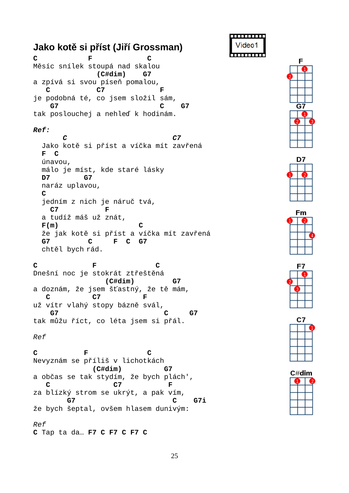**Jako kotě si příst (Jiří Grossman) C F C** Měsíc snílek stoupá nad skalou  **(C#dim) G7** a zpívá si svou píseň pomalou, **C C7** F je podobná té, co jsem složil sám,  **G7 C G7** tak poslouchej a nehleď k hodinám. *Ref: C C7* Jako kotě si příst a víčka mít zavřená  **F C** únavou, málo je míst, kde staré lásky  **D7 G7** naráz uplavou,  **C** jedním z nich je náruč tvá,  **C7 F** a tudíž máš už znát,  $F(m)$ že jak kotě si příst a víčka mít zavřená  **G7 C F C G7** chtěl bych rád. **C F C** Dnešní noc je stokrát ztřeštěná  **(C#dim) G7** a doznám, že jsem šťastný, že tě mám,  **C C7 F** už vítr vlahý stopy bázně svál,  **G7 C G7** tak můžu říct, co léta jsem si přál. *Ref* **C F C** Nevyznám se příliš v lichotkách  **(C#dim) G7** a občas se tak stydím, že bych plách',  **C C7 F** za blízký strom se ukrýt, a pak vím,  **G7 C G7i** že bych šeptal, ovšem hlasem dunivým: *Ref* **C** Tap ta da… **F7 C F7 C F7 C**











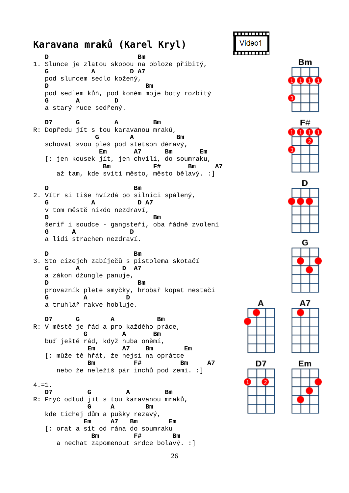# **Karavana mraků (Karel Kryl)**

 **D Bm** 1. Slunce je zlatou skobou na obloze přibitý, **G A D A7** pod sluncem sedlo kožený, **D Bm** pod sedlem kůň, pod koněm moje boty rozbitý **G A D** a starý ruce sedřený.

- **D7 G A Bm** R: Dopředu jít s tou karavanou mraků, **G A Bm** schovat svou pleš pod stetson děravý, **Em A7 Bm Em** [: jen kousek jít, jen chvíli, do soumraku, **Bm F# Bm A7** až tam, kde svítí město, město bělavý. :]
- **D Bm** 2. Vítr si tiše hvízdá po silnici spálený, **G A D A7** v tom městě nikdo nezdraví, **D Bm**  šerif i soudce - gangsteři, oba řádně zvolení **G A D** a lidi strachem nezdraví.
- **D Bm** 3. Sto cizejch zabíječů s pistolema skotačí **G A D A7** a zákon džungle panuje, **D Bm** provazník plete smyčky, hrobař kopat nestačí **G A D** a truhlář rakve hobluje.

 **D7 G A Bm** R: V městě je řád a pro každého práce, **G A Bm** buď ještě rád, když huba oněmí, **Em A7 Bm Em** [: může tě hřát, že nejsi na oprátce **Bm F# Bm A7** nebo že neležíš pár inchů pod zemí. :]

4.=1. **D7 G A Bm** R: Pryč odtud jít s tou karavanou mraků, **G A Bm** kde tichej dům a pušky rezavý, **Em A7 Bm Em** [: orat a sít od rána do soumraku **Bm** F# Bm a nechat zapomenout srdce bolavý. :]

















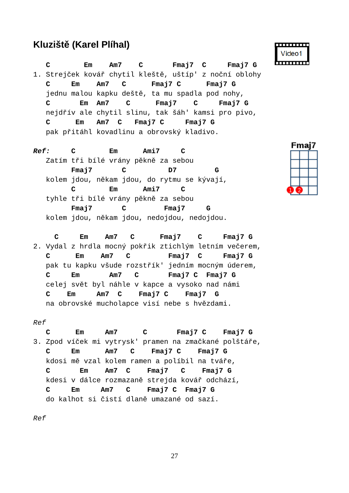# **Kluziště (Karel Plíhal)**

 **C Em Am7 C Fmaj7 C Fmaj7 G** 1. Strejček kovář chytil kleště, uštíp' z noční oblohy  **C Em Am7 C Fmaj7 C Fmaj7 G** jednu malou kapku deště, ta mu spadla pod nohy,  **C Em Am7 C Fmaj7 C Fmaj7 G** nejdřív ale chytil slinu, tak šáh' kamsi pro pivo,  **C Em Am7 C Fmaj7 C Fmaj7 G** pak přitáhl kovadlinu a obrovský kladivo.

*Ref:* **C Em Ami7 C** Zatím tři bílé vrány pěkně za sebou  **Fmaj7 C D7 G** kolem jdou, někam jdou, do rytmu se kývají,  **C Em Ami7 C** tyhle tři bílé vrány pěkně za sebou  **Fmaj7 C Fmaj7 G** kolem jdou, někam jdou, nedojdou, nedojdou.

 **C Em Am7 C Fmaj7 C Fmaj7 G** 2. Vydal z hrdla mocný pokřik ztichlým letním večerem,  **C Em Am7 C Fmaj7 C Fmaj7 G** pak tu kapku všude rozstřík' jedním mocným úderem,  **C Em Am7 C Fmaj7 C Fmaj7 G** celej svět byl náhle v kapce a vysoko nad námi  **C Em Am7 C Fmaj7 C Fmaj7 G** na obrovské mucholapce visí nebe s hvězdami.

*Ref*

 **C Em Am7 C Fmaj7 C Fmaj7 G** 3. Zpod víček mi vytrysk' pramen na zmačkané polštáře,  **C Em Am7 C Fmaj7 C Fmaj7 G** kdosi mě vzal kolem ramen a políbil na tváře,  **C Em Am7 C Fmaj7 C Fmaj7 G** kdesi v dálce rozmazaně strejda kovář odchází,  **C Em Am7 C Fmaj7 C Fmaj7 G** do kalhot si čistí dlaně umazané od sazí.

*Ref*



Fmai7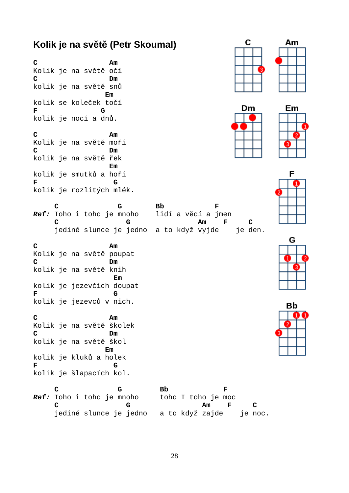# **Kolik je na světě (Petr Skoumal)**

**C** Am Kolik je na světě očí **C Dm** kolik je na světě snů  **Em**  kolik se koleček točí **F G** kolik je nocí a dnů.

**C** Am Kolik je na světě moří **C Dm** kolik je na světě řek  **Em**  kolik je smutků a hoří **F G** kolik je rozlitých mlék.

|  | G                                      | Bb                 |    |      |  |
|--|----------------------------------------|--------------------|----|------|--|
|  | <b>Ref:</b> Toho i toho je mnoho       | lidí a věcí a jmen |    |      |  |
|  |                                        |                    | Am |      |  |
|  | jediné slunce je jedno a to když vyjde |                    |    | je d |  |

**C** Am Kolik je na světě poupat **C Dm** kolik je na světě knih *Em and the state of the Em* kolik je jezevčích doupat **F G** kolik je jezevců v nich.

**C** Am Kolik je na světě školek **C Dm** kolik je na světě škol  **Em**  kolik je kluků a holek **F G** kolik je šlapacích kol.

















a to když vyjde je den.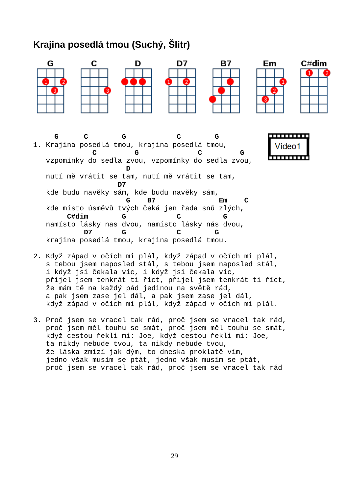# **Krajina posedlá tmou (Suchý, Šlitr)**



 **G C G C G** 1. Krajina posedlá tmou, krajina posedlá tmou,  **C G C G** vzpomínky do sedla zvou, vzpomínky do sedla zvou, **D**  nutí mě vrátit se tam, nutí mě vrátit se tam, **D7 D7**  kde budu navěky sám, kde budu navěky sám, **C** B7 Em C kde místo úsměvů tvých čeká jen řada snů zlých,  **C#dim G C G** namísto lásky nas dvou, namísto lásky nás dvou,  **D7 G C G** krajina posedlá tmou, krajina posedlá tmou.

- 2. Když západ v očích mi plál, když západ v očích mi plál, s tebou jsem naposled stál, s tebou jsem naposled stál, i když jsi čekala víc, i když jsi čekala víc, přijel jsem tenkrát ti říct, přijel jsem tenkrát ti říct, že mám tě na každý pád jedinou na světě rád, a pak jsem zase jel dál, a pak jsem zase jel dál, když západ v očích mi plál, když západ v očích mi plál.
- 3. Proč jsem se vracel tak rád, proč jsem se vracel tak rád, proč jsem měl touhu se smát, proč jsem měl touhu se smát, když cestou řekli mi: Joe, když cestou řekli mi: Joe, ta nikdy nebude tvou, ta nikdy nebude tvou, že láska zmizí jak dým, to dneska proklatě vím, jedno však musím se ptát, jedno však musím se ptát, proč jsem se vracel tak rád, proč jsem se vracel tak rád

29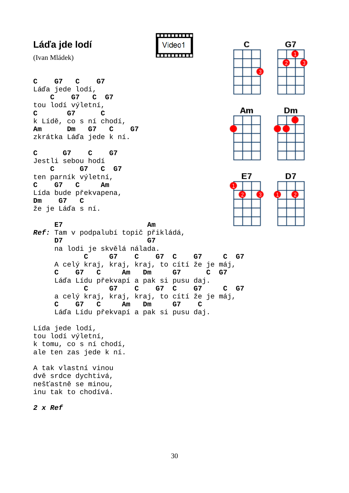# **Láďa jde lodí** (Ivan Mládek) **C G7 C G7** Láďa jede lodí,  **C G7 C G7** tou lodí výletní,



Lída bude překvapena, **Dm G7 C** že je Láďa s ní.

**E7** Am *Ref:* Tam v podpalubí topič přikládá,  **D7 G7** na lodi je skvělá nálada.  **C G7 C G7 C G7 C G7** A celý kraj, kraj, kraj, to cítí že je máj,  **C G7 C Am Dm G7 C G7** Láďa Lídu překvapí a pak si pusu daj.  **C G7 C G7 C G7 C G7** a celý kraj, kraj, kraj, to cítí že je máj,  **C G7 C Am Dm G7 C** Láďa Lídu překvapí a pak si pusu daj.

Lída jede lodí, tou lodí výletní, k tomu, co s ní chodí, ale ten zas jede k ní.

A tak vlastní vinou dvě srdce dychtivá, nešťastně se minou, inu tak to chodívá.

#### *2 x Ref*











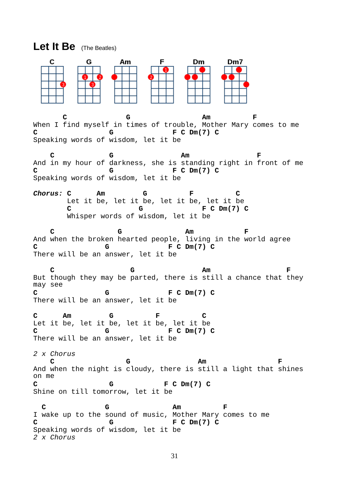## **Let It Be** (The Beatles)

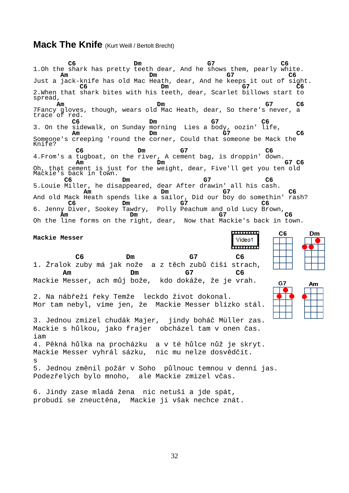#### **Mack The Knife** (Kurt Weill / Bertolt Brecht)

 **C6 Dm G7 C6** 1.Oh the shark has pretty teeth dear, And he shows them, pearly white.  **Am Dm G7 C6** Just a jack-knife has old Mac Heath, dear, And he keeps it out of sight. **C6 Dm** G7 **C6 C6** 2.When that shark bites with his teeth, dear, Scarlet billows start to spread,  **Am Dm G7 C6** 7Fancy gloves, though, wears old Mac Heath, dear, So there's never, a trace of red.  **C6 Dm G7 C6** 3. On the sidewalk, on Sunday morning Lies a body, oozin' life, **and Am Dm G7 C6** Someone's creeping 'round the corner, Could that someone be Mack the Knife?  **C6 Dm G7 C6** 4.From's a tugboat, on the river, A cement bag, is droppin' down. *Am* **Am Dm CAM CAMP CG** Oh, that cement is just for the weight, dear, Five'll get you ten old Mackie's back in town. **C6 Dm G7 C6 C6** 5.Louie Miller, he disappeared, dear After drawin' all his cash. *Am* **Dm Bm G7 C6** And old Mack Heath spends like a sailor, Did our boy do somethin' rash?  **C6 Dm G7 C6** 6. Jenny Diver, Sookey Tawdry, Polly Peachum and old Lucy Brown, **Am Dm Dm G7 C6** Oh the line forms on the right, dear, Now that Mackie's back in town.

#### **Mackie Messer**

 **C6 Dm G7 C6** 1. Žralok zuby má jak nože a z těch zubů čiší strach, **am and Dm G7 C6** Mackie Messer, ach můj bože, kdo dokáže, že je vrah.

2. Na nábřeží řeky Temže leckdo život dokonal. Mor tam nebyl, víme jen, že Mackie Messer blízko stál.

3. Jednou zmizel chudák Majer, jindy boháč Müller zas. Mackie s hůlkou, jako frajer obcházel tam v onen čas. iam 4. Pěkná hůlka na procházku a v té hůlce nůž je skryt. Mackie Messer vyhrál sázku, nic mu nelze dosvědčit. s

5. Jednou změnil požár v Soho půlnouc temnou v denní jas. Podezřelých bylo mnoho, ale Mackie zmizel včas.

6. Jindy zase mladá žena nic netuší a jde spát, probudí se zneuctěna, Mackie ji však nechce znát.

|  | C6 |  | Dm |  |
|--|----|--|----|--|
|  |    |  |    |  |
|  |    |  |    |  |
|  |    |  |    |  |
|  |    |  |    |  |
|  |    |  |    |  |

<u>mmmn</u> Video1

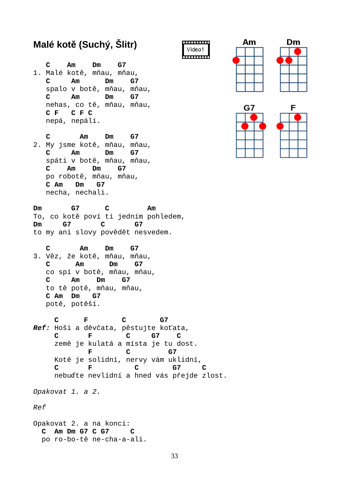# **Malé kotě (Suchý, Šlitr)**

 **C Am Dm G7** 1. Malé kotě, mňau, mňau,  **C Am Dm G7** spalo v botě, mňau, mňau,  **C Am Dm G7** nehas, co tě, mňau, mňau,  **C F C F C** nepá, nepálí.  **C Am Dm G7** 2. My jsme kotě, mňau, mňau,  **C Am Dm G7** spáti v botě, mňau, mňau,  **C Am Dm G7** po robotě, mňau, mňau,  **C Am Dm G7** necha, nechali. **Dm G7 C Am** To, co kotě poví ti jedním pohledem, **Dm G7 C G7** to my ani slovy povědět nesvedem.  **C Am Dm G7** 3. Věz, že kotě, mňau, mňau,  **C Am Dm G7** co spí v botě, mňau, mňau,  **C Am Dm G7** to tě potě, mňau, mňau,  **C Am Dm G7** potě, potěší.  **C F C G7** *Ref:* Hoši a děvčata, pěstujte koťata,  **C F C G7 C** země je kulatá a místa je tu dost. **F** C G7 Kotě je solidní, nervy vám uklidní,  **C F C G7 C** nebuďte nevlídní a hned vás přejde zlost. *Opakovat 1. a 2. Ref* Opakovat 2. a na konci:  **C Am Dm G7 C G7 C** po ro-bo-tě ne-cha-a-ali.



**panaman** Video1 





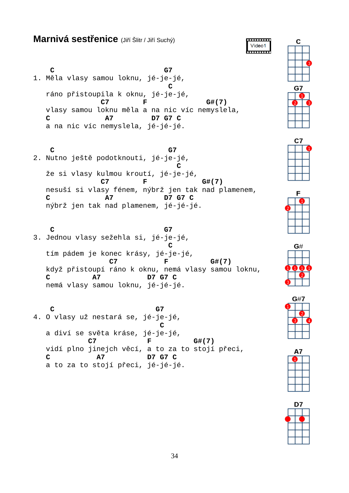**Marnivá sestřenice** (Jiří Šlitr / Jiří Suchý)

**C** G7 1. Měla vlasy samou loknu, jé-je-jé, **C** C ráno přistoupila k oknu, jé-je-jé,  **C7 F G#(7)**  vlasy samou loknu měla a na nic víc nemyslela,  **C A7 D7 G7 C** a na nic víc nemyslela, jé-jé-jé.

**C** G7 2. Nutno ještě podotknouti, jé-je-jé, **C** C že si vlasy kulmou kroutí, jé-je-jé,  **C7 F G#(7)**  nesuší si vlasy fénem, nýbrž jen tak nad plamenem,  **C A7 D7 G7 C** nýbrž jen tak nad plamenem, jé-jé-jé.

**C** G7 3. Jednou vlasy sežehla si, jé-je-jé, **C** C tím pádem je konec krásy, jé-je-jé,  **C7 F G#(7)** když přistoupí ráno k oknu, nemá vlasy samou loknu,  **C A7 D7 G7 C** nemá vlasy samou loknu, jé-jé-jé.

**c** G7 4. O vlasy už nestará se, jé-je-jé,  **C** a diví se světa kráse, jé-je-jé,  **C7 F G#(7)**  vidí plno jinejch věcí, a to za to stojí přeci,  **C A7 D7 G7 C** a to za to stojí přeci, jé-jé-jé.



<del>...........</del>

Video1 1<del>. . . . . . . . .</del>











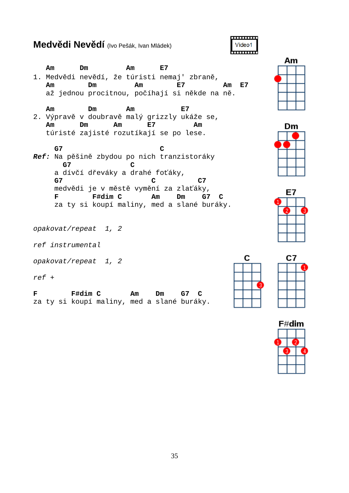## **Medvědi Nevědí** (Ivo Pešák, Ivan Mládek)

 **Am Dm Am E7** 1. Medvědi nevědí, že túristi nemaj' zbraně,  **Am Dm Am E7 Am E7** až jednou procitnou, počíhají si někde na ně.  **Am Dm Am E7** 2. Výpravě v doubravě malý grizzly ukáže se,  **Am Dm Am E7 Am** túristé zajisté rozutíkají se po lese.  **G7 C** *Ref:* Na pěšině zbydou po nich tranzistoráky  **G7 C** a dívčí dřeváky a drahé foťáky, **G7 C C7**  medvědi je v městě vymění za zlaťáky,  **F F#dim C Am Dm G7 C** za ty si koupí maliny, med a slané buráky. *opakovat/repeat 1, 2 ref instrumental opakovat/repeat 1, 2 ref +*

| F. | F#dim C |  |  | Am                                         | Dm G7 C |  |  |
|----|---------|--|--|--------------------------------------------|---------|--|--|
|    |         |  |  | za ty si koupí maliny, med a slané buráky. |         |  |  |



<del>..........</del>

<del>.......</del>





| C |   |   |
|---|---|---|
|   |   |   |
|   |   |   |
|   | 3 |   |
|   |   |   |
|   |   | I |
|   |   |   |



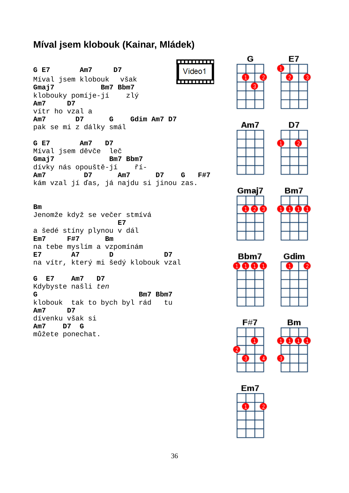# **Míval jsem klobouk (Kainar, Mládek)**

**G E7 Am7 D7** Míval jsem klobouk však **Gmaj7 Bm7 Bbm7** klobouky pomíje-jí zlý **Am7 D7** vítr ho vzal a **Am7 D7 G Gdim Am7 D7** pak se mi z dálky smál

**G E7 Am7 D7** Míval jsem děvče **Gmaj7 Bm7 Bbm7**  dívky nás opouště-jí ří-**Am7 D7 Am7 D7 G F#7** kám vzal jí ďas, já najdu si jinou zas.

**Bm**

Jenomže když se večer stmívá **E7** a šedé stíny plynou v dál **Em7 F#7 Bm** na tebe myslím a vzpomínám **E7 A7 D D7** na vítr, který mi šedý klobouk vzal

**G E7 Am7 D7** Kdybyste našli *ten* **G** Bm7 Bbm7 klobouk tak to bych byl rád tu **Am7 D7** dívenku však si **Am7 D7 G** můžete ponechat.



<del>............</del> Video1 <del>..........</del>



















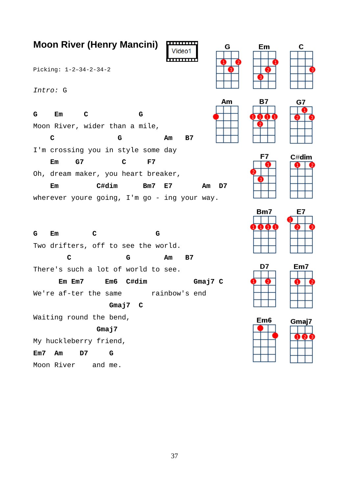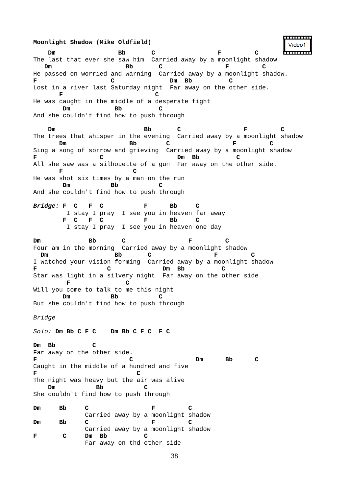#### **Moonlight Shadow (Mike Oldfield)**

**Dm Bb** C F C The last that ever she saw him Carried away by a moonlight shadow **Dm** Bb C F C He passed on worried and warning Carried away by a moonlight shadow. **F C Dm Bb C** Lost in a river last Saturday night Far away on the other side. **F** C He was caught in the middle of a desperate fight **Dm** Bb C And she couldn't find how to push through **Dm** Bb C F C The trees that whisper in the evening Carried away by a moonlight shadow **Dm** Bb C F C Sing a song of sorrow and grieving Carried away by a moonlight shadow **F C Dm Bb C** All she saw was a silhouette of a gun Far away on the other side. **F** C He was shot six times by a man on the run<br>Dm Bb  $\overline{C}$ **Dm** Bb C And she couldn't find how to push through *Bridge:* **F C F C F Bb C** I stay I pray I see you in heaven far away  **F C F C F Bb C** I stay I pray I see you in heaven one day **Dm Bb C F C** Four am in the morning Carried away by a moonlight shadow **Dm Bb** C F C I watched your vision forming Carried away by a moonlight shadow **F C Dm Bb C** Star was light in a silvery night Far away on the other side **F** C Will you come to talk to me this night **Dm** Bb C But she couldn't find how to push through *Bridge Solo:* **Dm Bb C F C Dm Bb C F C F C Dm Bb C** Far away on the other side. **F C Dm Bb C** Caught in the middle of a hundred and five **F C** The night was heavy but the air was alive

<del>..........</del>

**Dm** Bb C She couldn't find how to push through

| Dm | Bb |                                    |  |
|----|----|------------------------------------|--|
|    |    | Carried away by a moonlight shadow |  |
| Dm | Bb | C.                                 |  |
|    |    | Carried away by a moonlight shadow |  |
| F  | C. | <b>Bh</b><br>Dm                    |  |
|    |    | Far away on thd other side         |  |

38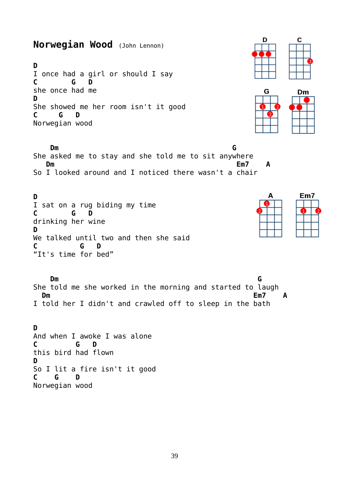# **Norwegian Wood** (John Lennon)

**D**  I once had a girl or should I say **C G D** she once had me **D**  She showed me her room isn't it good **C G D** Norwegian wood





 **Dm G** She asked me to stay and she told me to sit anywhere **Dm** Em7 A So I looked around and I noticed there wasn't a chair

**D**  I sat on a rug biding my time **C G D** drinking her wine **D**  We talked until two and then she said **C G D** "It's time for bed"



 **Dm G** She told me she worked in the morning and started to laugh  **Dm Em7 A** I told her I didn't and crawled off to sleep in the bath

**D**  And when I awoke I was alone **C G D** this bird had flown **D**  So I lit a fire isn't it good **C G D** Norwegian wood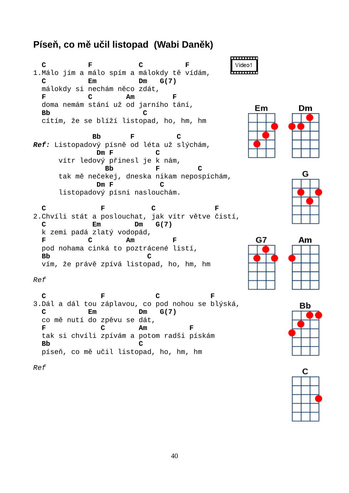# **Píseň, co mě učil listopad (Wabi Daněk)**

 **C F C F** Video1 1.Málo jím a málo spím a málokdy tě vídám,  **C Em Dm G(7)** málokdy si nechám něco zdát,  **F C Am F** doma nemám stání už od jarního tání,  **Bb C** cítím, že se blíží listopad, ho, hm, hm  **Bb F C** *Ref:* Listopadový písně od léta už slýchám, **Dm F**  vítr ledový přinesl je k nám, **Bb** F C tak mě nečekej, dneska nikam nepospíchám, **Dm F** C listopadový písni naslouchám.  **C F C F** 2.Chvíli stát a poslouchat, jak vítr větve čistí,  **C Em Dm G(7)** k zemi padá zlatý vodopád,  **F C Am F** pod nohama cinká to poztrácené listí,  **Bb C** vím, že právě zpívá listopad, ho, hm, hm *Ref*  **C F C F** 3.Dál a dál tou záplavou, co pod nohou se blýská,  **C Em Dm G(7)** co mě nutí do zpěvu se dát,  **F C Am F** tak si chvíli zpívám a potom radši pískám  **Bb C** píseň, co mě učil listopad, ho, hm, hm

Em Dm

<u>mmmm</u>







C

*Ref*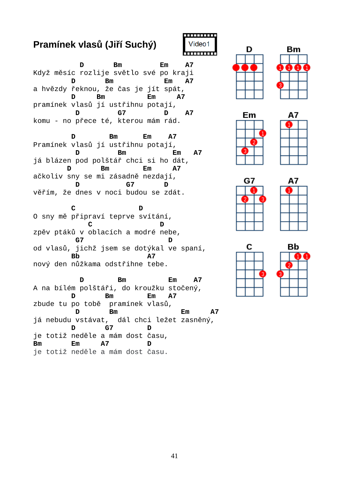## **Pramínek vlasů (Jiří Suchý)**

<u>mmmn</u>

















**D** Bm Em A7 Když měsíc rozlije světlo své po kraji **D** Bm Em A7 a hvězdy řeknou, že čas je jít spát, **D** Bm Em A7 pramínek vlasů jí ustřihnu potají,  **D G7 D A7** komu - no přece té, kterou mám rád.

**D** Bm Em A7 Pramínek vlasů jí ustřihnu potají, **D** Bm Em A7 já blázen pod polštář chci si ho dát, **D** Bm Em A7 ačkoliv sny se mi zásadně nezdají,  **D G7 D** věřím, že dnes v noci budou se zdát.

**C** D O sny mě připraví teprve svítání, **C** D zpěv ptáků v oblacích a modré nebe,  **G7 D** od vlasů, jichž jsem se dotýkal ve spaní, **Bb** A7 nový den nůžkama odstřihne tebe.

**D** Bm Em A7 A na bílém polštáři, do kroužku stočený, **D** Bm Em A7 zbude tu po tobě pramínek vlasů, **D** Bm **Em** A7 já nebudu vstávat, dál chci ležet zasněný, **D** G7 **D** je totiž neděle a mám dost času, **Bm Em A7 D** je totiž neděle a mám dost času.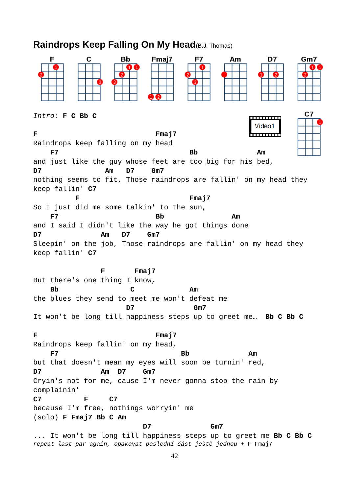## **Raindrops Keep Falling On My Head**(B.J. Thomas)

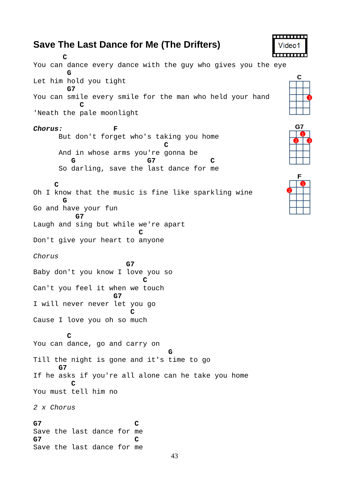## **Save The Last Dance for Me (The Drifters)**

 **C** You can dance every dance with the guy who gives you the eye  **G** Let him hold you tight **G7** You can smile every smile for the man who held your hand **C** 'Neath the pale moonlight  $Chorus:$ But don't forget who's taking you home **C** C And in whose arms you're gonna be **G** G7 **C** So darling, save the last dance for me  **C** Oh I know that the music is fine like sparkling wine  **G** Go and have your fun **G7** Laugh and sing but while we're apart  **C** Don't give your heart to anyone *Chorus* **G7** Baby don't you know I love you so  **C** Can't you feel it when we touch **G7** I will never never let you go  **C** Cause I love you oh so much **C** You can dance, go and carry on  **G** Till the night is gone and it's time to go  **G7** If he asks if you're all alone can he take you home  **C** You must tell him no *2 x Chorus* **G7 C** Save the last dance for me **G7 C** Save the last dance for me

C

 $G7$ 

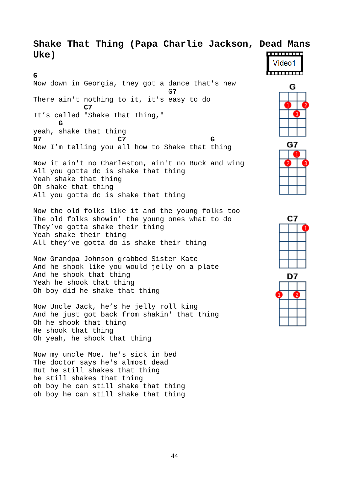# **Shake That Thing (Papa Charlie Jackson, Dead Mans Uke)**

**G** Now down in Georgia, they got a dance that's new G**7** There ain't nothing to it, it's easy to do **C7** It's called "Shake That Thing," **G** yeah, shake that thing **D7 C7 G** Now I'm telling you all how to Shake that thing Now it ain't no Charleston, ain't no Buck and wing All you gotta do is shake that thing Yeah shake that thing Oh shake that thing All you gotta do is shake that thing Now the old folks like it and the young folks too The old folks showin' the young ones what to do They've gotta shake their thing Yeah shake their thing All they've gotta do is shake their thing Now Grandpa Johnson grabbed Sister Kate And he shook like you would jelly on a plate And he shook that thing Yeah he shook that thing Oh boy did he shake that thing Now Uncle Jack, he's he jelly roll king And he just got back from shakin' that thing Oh he shook that thing He shook that thing Oh yeah, he shook that thing Now my uncle Moe, he's sick in bed The doctor says he's almost dead But he still shakes that thing he still shakes that thing oh boy he can still shake that thing oh boy he can still shake that thing

ideo1





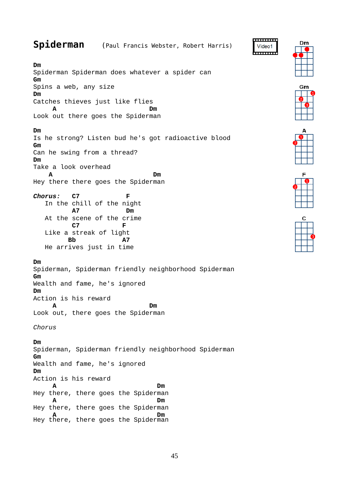# **Spiderman** (Paul Francis Webster, Robert Harris)

Is he strong? Listen bud he's got radioactive blood

Spiderman Spiderman does whatever a spider can

<del>............</del> Video1 <del>..........</del>



Gm







**Dm** Spiderman, Spiderman friendly neighborhood Spiderman **Gm** Wealth and fame, he's ignored **Dm** Action is his reward **A** Dm Look out, there goes the Spiderman

*Chorus*

**Dm**

**Gm**

**Dm**

**Dm**

**Gm**

**Dm**

Spins a web, any size

Catches thieves just like flies **a A** Dm Look out there goes the Spiderman

Can he swing from a thread?

*Chorus:* **C7 F**

 **A7 Dm** At the scene of the crime

 **C7 F** Like a streak of light **Bb** A7 He arrives just in time

 **A Dm** Hey there there goes the Spiderman

In the chill of the night

Take a look overhead

**Dm** Spiderman, Spiderman friendly neighborhood Spiderman **Gm** Wealth and fame, he's ignored **Dm** Action is his reward **A** Dm Hey there, there goes the Spiderman **A** Dm Hey there, there goes the Spiderman  **A Dm** Hey there, there goes the Spiderman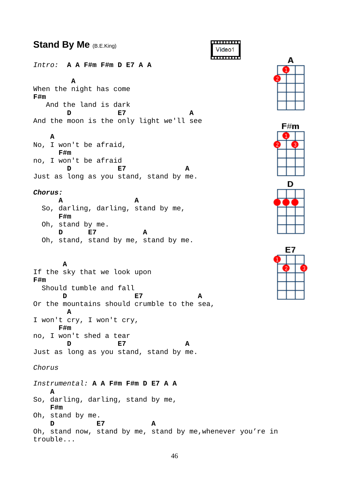## **Stand By Me** (B.E.King)

*Intro:* **A A F#m F#m D E7 A A**

## **A**

When the night has come **F#m** And the land is dark **D E7** A And the moon is the only light we'll see

#### **A**

No, I won't be afraid,  **F#m** no, I won't be afraid **D E7** A Just as long as you stand, stand by me.

#### *Chorus:*

**A** A So, darling, darling, stand by me,  **F#m** Oh, stand by me.  **D E7 A** Oh, stand, stand by me, stand by me.

 **A**

If the sky that we look upon **F#m** Should tumble and fall **D E7** A Or the mountains should crumble to the sea,  **A** I won't cry, I won't cry,  **F#m** no, I won't shed a tear **D E7** A Just as long as you stand, stand by me. *Chorus Instrumental:* **A A F#m F#m D E7 A A A** So, darling, darling, stand by me,

 **F#m** Oh, stand by me.  **D E7 A** Oh, stand now, stand by me, stand by me,whenever you're in trouble...



Video1



Α

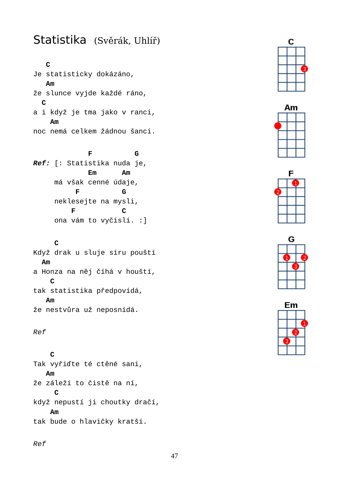# Statistika (Svěrák, Uhlíř)

 **C** Je statisticky dokázáno, **Am** že slunce vyjde každé ráno, **C** a i když je tma jako v ranci, **Am** noc nemá celkem žádnou šanci.

 **F G** *Ref:* [: Statistika nuda je, **Em Am** má však cenné údaje, **F G** neklesejte na mysli, **F C** ona vám to vyčíslí. :]

#### **C**

Když drak u sluje síru pouští **Am** a Honza na něj číhá v houští, **C** tak statistika předpovídá, **Am** že nestvůra už neposnídá.

#### *Ref*

#### **C**

Tak vyřiďte té ctěné sani, **Am** že záleží to čistě na ní, **C** když nepustí ji choutky dračí, **Am** tak bude o hlavičky kratší.











*Ref*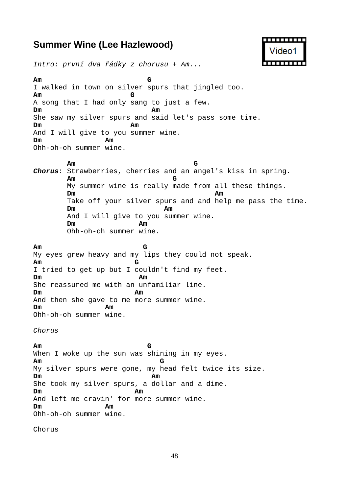## **Summer Wine (Lee Hazlewood)**



*Intro: první dva řádky z chorusu + Am...*

**Am G** I walked in town on silver spurs that jingled too. **Am G** A song that I had only sang to just a few. **Dm** Am She saw my silver spurs and said let's pass some time. **Dm** Am And I will give to you summer wine. **Dm** Am Ohh-oh-oh summer wine. *Am* **G** *Chorus*: Strawberries, cherries and an angel's kiss in spring.  **Am G** My summer wine is really made from all these things. **Dm** Am Take off your silver spurs and and help me pass the time. **Dm** Am And I will give to you summer wine. **Dm** Am Ohh-oh-oh summer wine. **Am G**  My eyes grew heavy and my lips they could not speak. **Am G** I tried to get up but I couldn't find my feet. **Dm** Am She reassured me with an unfamiliar line. **Dm** Am And then she gave to me more summer wine. **Dm** Am Ohh-oh-oh summer wine. *Chorus* **Am G** When I woke up the sun was shining in my eyes. **Am G** My silver spurs were gone, my head felt twice its size. **Dm** Am She took my silver spurs, a dollar and a dime. **Dm** Am And left me cravin' for more summer wine. **Dm** Am Ohh-oh-oh summer wine.

Chorus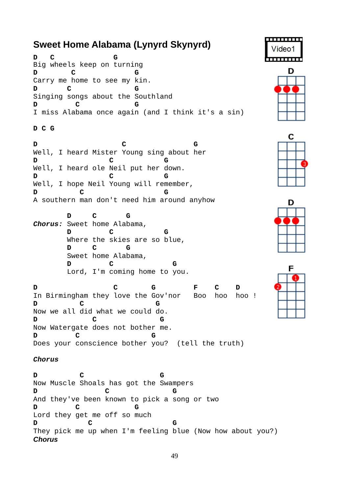**Sweet Home Alabama (Lynyrd Skynyrd) D C G** Big wheels keep on turning **D C G** Carry me home to see my kin. **D C G** Singing songs about the Southland **D C G**  I miss Alabama once again (and I think it's a sin) **D C G D C G** Well, I heard Mister Young sing about her **D C G** Well, I heard ole Neil put her down. **D C G** Well, I hope Neil Young will remember, **D C G** A southern man don't need him around anyhow  **D C G** *Chorus:* Sweet home Alabama,  **D C G** Where the skies are so blue,  **D C G** Sweet home Alabama, **D** C G Lord, I'm coming home to you. **D C G F C D** In Birmingham they love the Gov'nor Boo hoo hoo ! **D C G** Now we all did what we could do. **D C G** Now Watergate does not bother me. **D C G** Does your conscience bother you? (tell the truth) *Chorus* **D C G** Now Muscle Shoals has got the Swampers **D C G** And they've been known to pick a song or two **D C G** Lord they get me off so much **D C G** They pick me up when I'm feeling blue (Now how about you?) *Chorus*







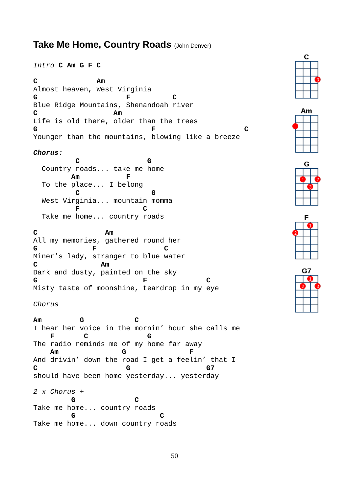#### **Take Me Home, Country Roads** (John Denver)

*Intro* **C Am G F C C** Am Almost heaven, West Virginia **G F C** Blue Ridge Mountains, Shenandoah river **C** Am Life is old there, older than the trees **G F C** Younger than the mountains, blowing like a breeze *Chorus:* **C** G Country roads... take me home  **Am F** To the place... I belong  **C G** West Virginia... mountain momma **F** C Take me home... country roads **C** Am All my memories, gathered round her **G F C** Miner's lady, stranger to blue water **C** Am Dark and dusty, painted on the sky **G F C** Misty taste of moonshine, teardrop in my eye *Chorus* **Am G C** I hear her voice in the mornin' hour she calls me  **F C G** The radio reminds me of my home far away **Am** G F And drivin' down the road I get a feelin' that I C **G** G7 should have been home yesterday... yesterday *2 x Chorus +*   **G C** Take me home... country roads  **G C** Take me home... down country roads









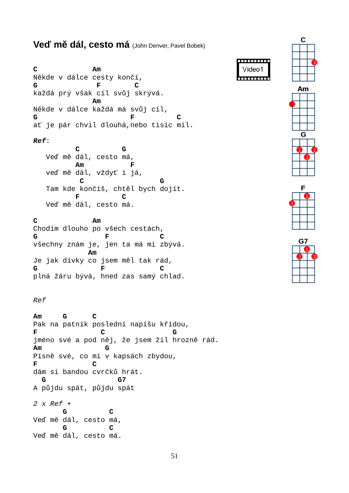#### **Veď mě dál, cesto má** (John Denver, Pavel Bobek)

**C** Am Někde v dálce cesty končí, **G F C** každá prý však cíl svůj skrývá. *Am* Někde v dálce každá má svůj cíl, **G F C** ať je pár chvil dlouhá,nebo tisic mil. *Ref*: **C G** Veď mě dál, cesto má,  **Am F** veď mě dál, vždyť i já,  **C G** Tam kde končíš, chtěl bych dojít. **F** C Veď mě dál, cesto má. **C Am** Chodím dlouho po všech cestách, **G F C** všechny znám je, jen ta má mi zbývá.  **Am** Je jak dívky co jsem měl tak rád, **G F C** plná žáru bývá, hned zas samý chlad. *Ref* **Am G C** Pak na patník poslední napíšu křídou, **F C G**  jméno své a pod něj, že jsem žil hrozně rád. **Am G** Písně své, co mi v kapsách zbydou, **F C**

dám si bandou cvrčků hrát.

**G** G7 A půjdu spát, půjdu spát

 **G C** Veď mě dál, cesto má,  **G C** Veď mě dál, cesto má.

*2 x Ref +*







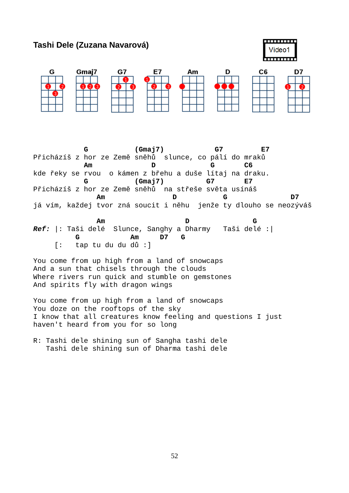#### **Tashi Dele (Zuzana Navarová)** G Gmaj7 G7 **E7** Am D C6 D7

 **G (Gmaj7) G7 E7** Přicházíš z hor ze Země sněhů slunce, co pálí do mraků **am D** D G C6 kde řeky se rvou o kámen z břehu a duše lítaj na draku. G (Gmaj7) **G7** E7 Přicházíš z hor ze Země sněhů na střeše světa usínáš **am** and **D** G D<sub>7</sub> já vím, každej tvor zná soucit i něhu jenže ty dlouho se neozýváš

**a** Am **D** G *Ref:* |: Taši delé Slunce, Sanghy a Dharmy Taši delé :|  **G Am D7 G** [: tap tu du du dů :]

You come from up high from a land of snowcaps And a sun that chisels through the clouds Where rivers run quick and stumble on gemstones And spirits fly with dragon wings

You come from up high from a land of snowcaps You doze on the rooftops of the sky I know that all creatures know feeling and questions I just haven't heard from you for so long

R: Tashi dele shining sun of Sangha tashi dele Tashi dele shining sun of Dharma tashi dele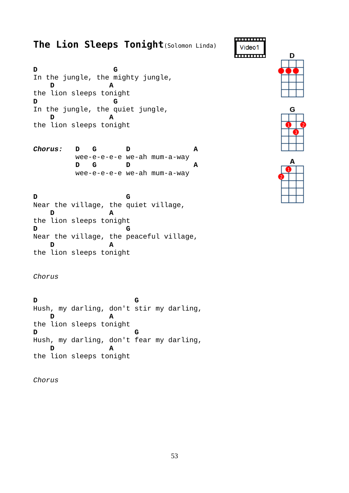# **The Lion Sleeps Tonight**(Solomon Linda)

**D G** In the jungle, the mighty jungle, **D** A the lion sleeps tonight **D G** In the jungle, the quiet jungle, **D A** the lion sleeps tonight

*Chorus:* **D G D A** wee-e-e-e-e we-ah mum-a-way  **D G D A** wee-e-e-e-e we-ah mum-a-way

**D G** Near the village, the quiet village, **D** A the lion sleeps tonight **D G** Near the village, the peaceful village, **D** A the lion sleeps tonight

*Chorus*

**D G** Hush, my darling, don't stir my darling, **D** A the lion sleeps tonight **D G** Hush, my darling, don't fear my darling, **D** A the lion sleeps tonight

*Chorus*







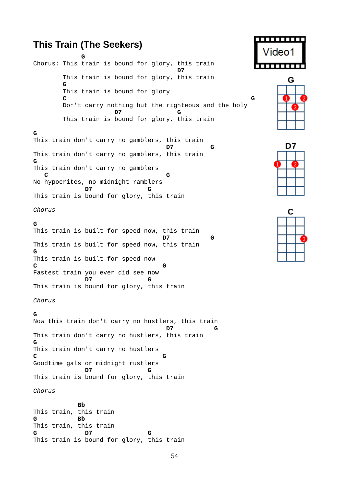# **This Train (The Seekers)**

 **G** Chorus: This train is bound for glory, this train **D7**  This train is bound for glory, this train  **G** This train is bound for glory  **C G** Don't carry nothing but the righteous and the holy  **D7 G** This train is bound for glory, this train **G** This train don't carry no gamblers, this train  **D7 G** This train don't carry no gamblers, this train **G** This train don't carry no gamblers  **C G** No hypocrites, no midnight ramblers  **D7 G** This train is bound for glory, this train *Chorus* **G** This train is built for speed now, this train  **D7 G** This train is built for speed now, this train **G** This train is built for speed now **C G** Fastest train you ever did see now  **D7 G** This train is bound for glory, this train *Chorus* **G** Now this train don't carry no hustlers, this train  **D7 G** This train don't carry no hustlers, this train **G** This train don't carry no hustlers **C G** Goodtime gals or midnight rustlers  **D7 G** This train is bound for glory, this train *Chorus*  **Bb** This train, this train **G Bb** This train, this train **G D7 G** This train is bound for glory, this train







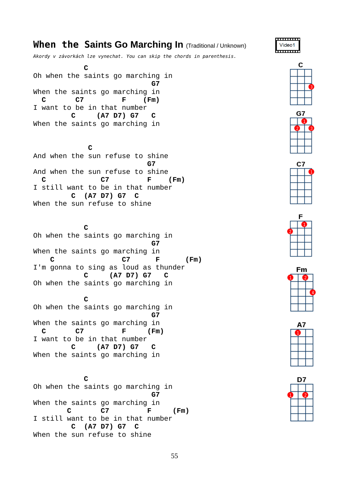## **When the Saints Go Marching In** (Traditional / Unknown)

*Akordy v závorkách lze vynechat. You can skip the chords in parenthesis.*

**C** Oh when the saints go marching in **G7** When the saints go marching in  **C C7 F (Fm)** I want to be in that number **C (A7 D7) G7 C** When the saints go marching in

**C** And when the sun refuse to shine **G7** And when the sun refuse to shine  **C C7 F (Fm)** I still want to be in that number **C (A7 D7) G7 C** When the sun refuse to shine

**C** 

Oh when the saints go marching in **G7** When the saints go marching in **C C7 F (Fm)** I'm gonna to sing as loud as thunder **C (A7 D7) G7 C** Oh when the saints go marching in

**C** 

Oh when the saints go marching in **G7** When the saints go marching in **C C7 F (Fm)** I want to be in that number **C (A7 D7) G7 C** When the saints go marching in

## **C**

Oh when the saints go marching in **G7** When the saints go marching in **C C7 F (Fm)** I still want to be in that number **C (A7 D7) G7 C** When the sun refuse to shine















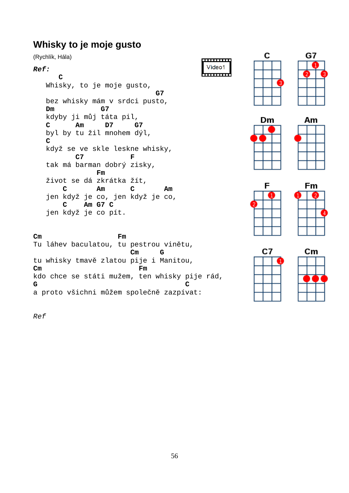# **Whisky to je moje gusto**

**Cm** Fm

#### (Rychlík, Hála)

#### *Ref:*

 **C**  Whisky, to je moje gusto, **G7**  bez whisky mám v srdci pusto, **Dm G7**  kdyby ji můj táta pil,  **C Am D7 G7** byl by tu žil mnohem dýl,  **C**  když se ve skle leskne whisky,  **C7 F** tak má barman dobrý zisky, *Fm* Fm život se dá zkrátka žít,  **C Am C Am** jen když je co, jen když je co,  **C Am G7 C** jen když je co pít.

Tu láhev baculatou, tu pestrou vinětu,

tu whisky tmavě zlatou pije i Manitou,

**G C** a proto všichni můžem společně zazpívat:

kdo chce se státi mužem, ten whisky pije rád,

**Cm** G

**Cm** Fm



















*Ref*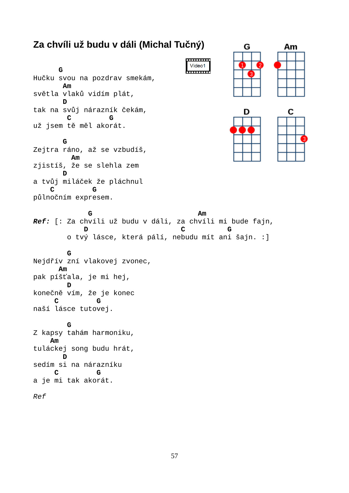# **Za chvíli už budu v dáli (Michal Tučný)**

Video1  **G** <del>............</del> Hučku svou na pozdrav smekám,  **Am** světla vlaků vidím plát, *D* tak na svůj nárazník čekám, D C  **C G** už jsem tě měl akorát.  **G** Zejtra ráno, až se vzbudíš,  **Am** zjistíš, že se slehla zem *D* a tvůj miláček že pláchnul  **C G** půlnočním expresem. **G** Am *Ref:* [: Za chvíli už budu v dáli, za chvíli mi bude fajn,  **D C G** o tvý lásce, která pálí, nebudu mít ani šajn. :]  **G** Nejdřív zní vlakovej zvonec,  **Am** pak píšťala, je mi hej, *D* konečně vím, že je konec  **C G** naší lásce tutovej.  **G** Z kapsy tahám harmoniku,  **Am** tuláckej song budu hrát,  **D** sedím si na nárazníku  **C G** a je mi tak akorát. *Ref*

G

<del>..........</del>

Am